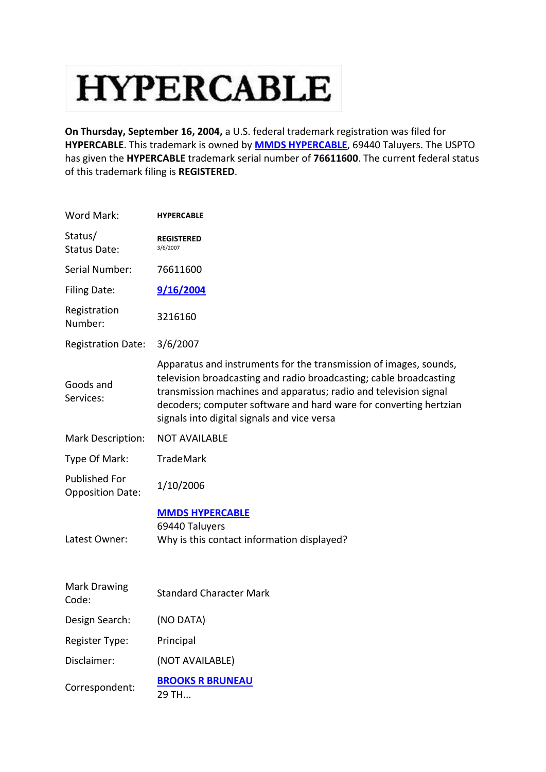## **HYPERCABLE**

**On Thursday, September 16, 2004,** a U.S. federal trademark registration was filed for **HYPERCABLE**. This trademark is owned by **[MMDS HYPERCABLE](http://www.trademarkia.com/company-mmds-hypercable-819228-page-1-2)**, 69440 Taluyers. The USPTO has given the **HYPERCABLE** trademark serial number of **76611600**. The current federal status of this trademark filing is **REGISTERED**.

| Word Mark:                               | <b>HYPERCABLE</b>                                                                                                                                                                                                                                                                                                               |
|------------------------------------------|---------------------------------------------------------------------------------------------------------------------------------------------------------------------------------------------------------------------------------------------------------------------------------------------------------------------------------|
| Status/<br>Status Date:                  | <b>REGISTERED</b><br>3/6/2007                                                                                                                                                                                                                                                                                                   |
| Serial Number:                           | 76611600                                                                                                                                                                                                                                                                                                                        |
| <b>Filing Date:</b>                      | 9/16/2004                                                                                                                                                                                                                                                                                                                       |
| Registration<br>Number:                  | 3216160                                                                                                                                                                                                                                                                                                                         |
| <b>Registration Date:</b>                | 3/6/2007                                                                                                                                                                                                                                                                                                                        |
| Goods and<br>Services:                   | Apparatus and instruments for the transmission of images, sounds,<br>television broadcasting and radio broadcasting; cable broadcasting<br>transmission machines and apparatus; radio and television signal<br>decoders; computer software and hard ware for converting hertzian<br>signals into digital signals and vice versa |
| Mark Description:                        | <b>NOT AVAILABLE</b>                                                                                                                                                                                                                                                                                                            |
| Type Of Mark:                            | <b>TradeMark</b>                                                                                                                                                                                                                                                                                                                |
| Published For<br><b>Opposition Date:</b> | 1/10/2006                                                                                                                                                                                                                                                                                                                       |
| Latest Owner:                            | <b>MMDS HYPERCABLE</b><br>69440 Taluyers<br>Why is this contact information displayed?                                                                                                                                                                                                                                          |
| <b>Mark Drawing</b><br>Code:             | <b>Standard Character Mark</b>                                                                                                                                                                                                                                                                                                  |
| Design Search:                           | (NO DATA)                                                                                                                                                                                                                                                                                                                       |
| Register Type:                           | Principal                                                                                                                                                                                                                                                                                                                       |
| Disclaimer:                              | (NOT AVAILABLE)                                                                                                                                                                                                                                                                                                                 |
| Correspondent:                           | <b>BROOKS R BRUNEAU</b><br>29 TH                                                                                                                                                                                                                                                                                                |